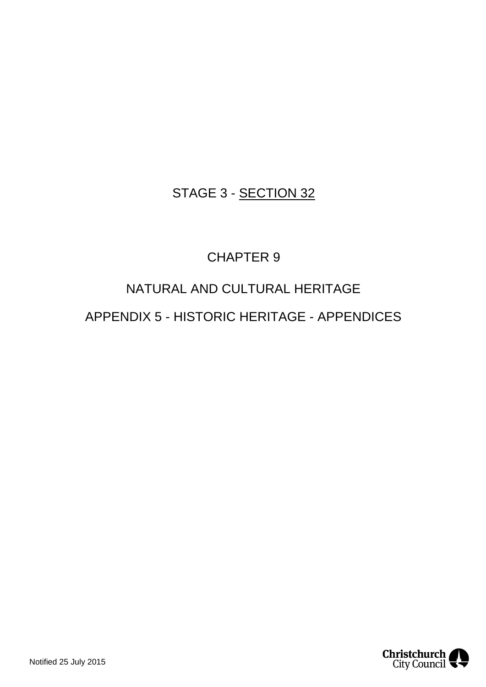# STAGE 3 - SECTION 32

# CHAPTER 9

# NATURAL AND CULTURAL HERITAGE

## APPENDIX 5 - HISTORIC HERITAGE - APPENDICES

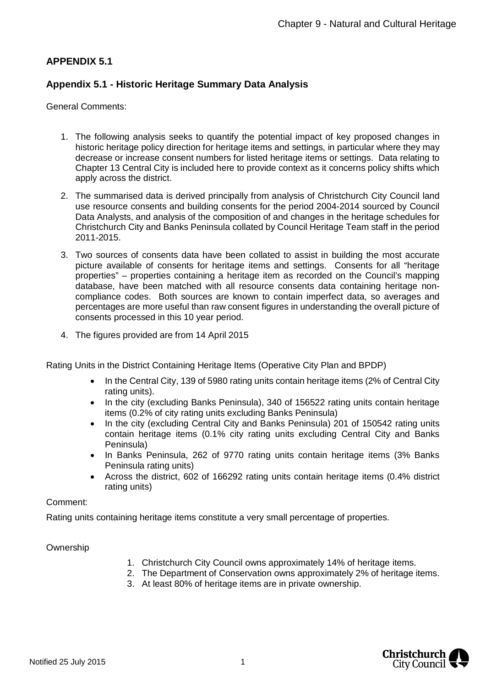## **APPENDIX 5.1**

## **Appendix 5.1 - Historic Heritage Summary Data Analysis**

General Comments:

- 1. The following analysis seeks to quantify the potential impact of key proposed changes in historic heritage policy direction for heritage items and settings, in particular where they may decrease or increase consent numbers for listed heritage items or settings. Data relating to Chapter 13 Central City is included here to provide context as it concerns policy shifts which apply across the district.
- 2. The summarised data is derived principally from analysis of Christchurch City Council land use resource consents and building consents for the period 2004-2014 sourced by Council Data Analysts, and analysis of the composition of and changes in the heritage schedules for Christchurch City and Banks Peninsula collated by Council Heritage Team staff in the period 2011-2015.
- 3. Two sources of consents data have been collated to assist in building the most accurate picture available of consents for heritage items and settings. Consents for all "heritage properties" – properties containing a heritage item as recorded on the Council's mapping database, have been matched with all resource consents data containing heritage noncompliance codes. Both sources are known to contain imperfect data, so averages and percentages are more useful than raw consent figures in understanding the overall picture of consents processed in this 10 year period.
- 4. The figures provided are from 14 April 2015

Rating Units in the District Containing Heritage Items (Operative City Plan and BPDP)

- In the Central City, 139 of 5980 rating units contain heritage items (2% of Central City rating units).
- In the city (excluding Banks Peninsula), 340 of 156522 rating units contain heritage items (0.2% of city rating units excluding Banks Peninsula)
- In the city (excluding Central City and Banks Peninsula) 201 of 150542 rating units contain heritage items (0.1% city rating units excluding Central City and Banks Peninsula)
- In Banks Peninsula, 262 of 9770 rating units contain heritage items (3% Banks Peninsula rating units)
- Across the district, 602 of 166292 rating units contain heritage items (0.4% district rating units)

Comment:

Rating units containing heritage items constitute a very small percentage of properties.

Ownership

- 1. Christchurch City Council owns approximately 14% of heritage items.
- 2. The Department of Conservation owns approximately 2% of heritage items.
	- 3. At least 80% of heritage items are in private ownership.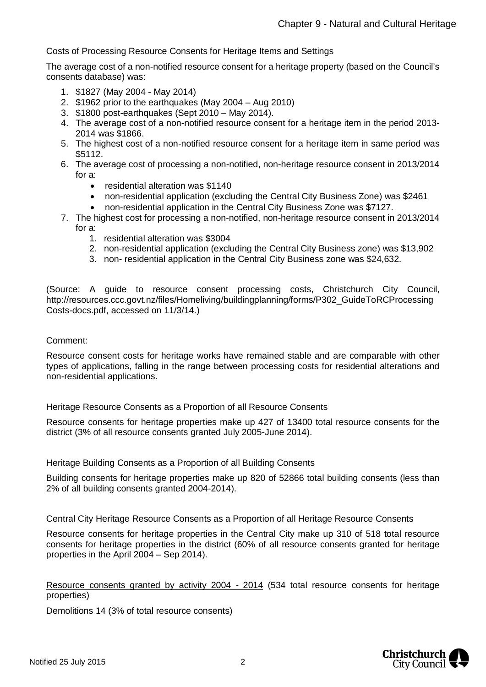Costs of Processing Resource Consents for Heritage Items and Settings

The average cost of a non-notified resource consent for a heritage property (based on the Council's consents database) was:

- 1. \$1827 (May 2004 May 2014)
- 2. \$1962 prior to the earthquakes (May 2004 Aug 2010)
- 3. \$1800 post-earthquakes (Sept 2010 May 2014).
- 4. The average cost of a non-notified resource consent for a heritage item in the period 2013- 2014 was \$1866.
- 5. The highest cost of a non-notified resource consent for a heritage item in same period was \$5112.
- 6. The average cost of processing a non-notified, non-heritage resource consent in 2013/2014 for a:
	- residential alteration was \$1140
	- non-residential application (excluding the Central City Business Zone) was \$2461
	- non-residential application in the Central City Business Zone was \$7127.
- 7. The highest cost for processing a non-notified, non-heritage resource consent in 2013/2014 for a:
	- 1. residential alteration was \$3004
	- 2. non-residential application (excluding the Central City Business zone) was \$13,902
	- 3. non- residential application in the Central City Business zone was \$24,632.

(Source: A guide to resource consent processing costs, Christchurch City Council, http://resources.ccc.govt.nz/files/Homeliving/buildingplanning/forms/P302\_GuideToRCProcessing Costs-docs.pdf, accessed on 11/3/14.)

Comment:

Resource consent costs for heritage works have remained stable and are comparable with other types of applications, falling in the range between processing costs for residential alterations and non-residential applications.

Heritage Resource Consents as a Proportion of all Resource Consents

Resource consents for heritage properties make up 427 of 13400 total resource consents for the district (3% of all resource consents granted July 2005-June 2014).

Heritage Building Consents as a Proportion of all Building Consents

Building consents for heritage properties make up 820 of 52866 total building consents (less than 2% of all building consents granted 2004-2014).

Central City Heritage Resource Consents as a Proportion of all Heritage Resource Consents

Resource consents for heritage properties in the Central City make up 310 of 518 total resource consents for heritage properties in the district (60% of all resource consents granted for heritage properties in the April 2004 – Sep 2014).

Resource consents granted by activity 2004 - 2014 (534 total resource consents for heritage properties)

Demolitions 14 (3% of total resource consents)

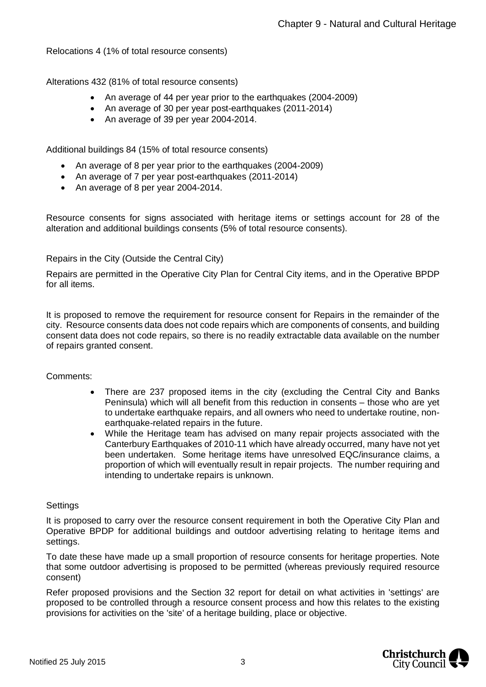Relocations 4 (1% of total resource consents)

Alterations 432 (81% of total resource consents)

- An average of 44 per year prior to the earthquakes (2004-2009)
- An average of 30 per year post-earthquakes (2011-2014)
- An average of 39 per year 2004-2014.

Additional buildings 84 (15% of total resource consents)

- An average of 8 per year prior to the earthquakes (2004-2009)
- An average of 7 per year post-earthquakes (2011-2014)
- An average of 8 per year 2004-2014.

Resource consents for signs associated with heritage items or settings account for 28 of the alteration and additional buildings consents (5% of total resource consents).

## Repairs in the City (Outside the Central City)

Repairs are permitted in the Operative City Plan for Central City items, and in the Operative BPDP for all items.

It is proposed to remove the requirement for resource consent for Repairs in the remainder of the city. Resource consents data does not code repairs which are components of consents, and building consent data does not code repairs, so there is no readily extractable data available on the number of repairs granted consent.

## Comments:

- There are 237 proposed items in the city (excluding the Central City and Banks Peninsula) which will all benefit from this reduction in consents – those who are yet to undertake earthquake repairs, and all owners who need to undertake routine, nonearthquake-related repairs in the future.
- While the Heritage team has advised on many repair projects associated with the Canterbury Earthquakes of 2010-11 which have already occurred, many have not yet been undertaken. Some heritage items have unresolved EQC/insurance claims, a proportion of which will eventually result in repair projects. The number requiring and intending to undertake repairs is unknown.

## **Settings**

It is proposed to carry over the resource consent requirement in both the Operative City Plan and Operative BPDP for additional buildings and outdoor advertising relating to heritage items and settings.

To date these have made up a small proportion of resource consents for heritage properties. Note that some outdoor advertising is proposed to be permitted (whereas previously required resource consent)

Refer proposed provisions and the Section 32 report for detail on what activities in 'settings' are proposed to be controlled through a resource consent process and how this relates to the existing provisions for activities on the 'site' of a heritage building, place or objective.

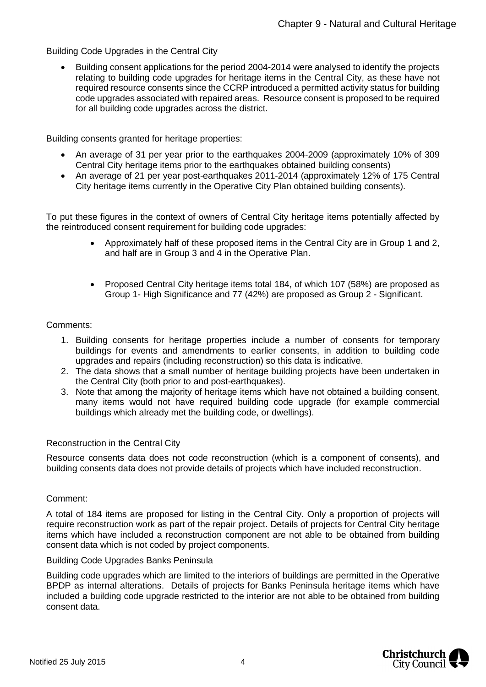## Building Code Upgrades in the Central City

• Building consent applications for the period 2004-2014 were analysed to identify the projects relating to building code upgrades for heritage items in the Central City, as these have not required resource consents since the CCRP introduced a permitted activity status for building code upgrades associated with repaired areas. Resource consent is proposed to be required for all building code upgrades across the district.

Building consents granted for heritage properties:

- An average of 31 per year prior to the earthquakes 2004-2009 (approximately 10% of 309 Central City heritage items prior to the earthquakes obtained building consents)
- An average of 21 per year post-earthquakes 2011-2014 (approximately 12% of 175 Central City heritage items currently in the Operative City Plan obtained building consents).

To put these figures in the context of owners of Central City heritage items potentially affected by the reintroduced consent requirement for building code upgrades:

- Approximately half of these proposed items in the Central City are in Group 1 and 2, and half are in Group 3 and 4 in the Operative Plan.
- Proposed Central City heritage items total 184, of which 107 (58%) are proposed as Group 1- High Significance and 77 (42%) are proposed as Group 2 - Significant.

## Comments:

- 1. Building consents for heritage properties include a number of consents for temporary buildings for events and amendments to earlier consents, in addition to building code upgrades and repairs (including reconstruction) so this data is indicative.
- 2. The data shows that a small number of heritage building projects have been undertaken in the Central City (both prior to and post-earthquakes).
- 3. Note that among the majority of heritage items which have not obtained a building consent, many items would not have required building code upgrade (for example commercial buildings which already met the building code, or dwellings).

## Reconstruction in the Central City

Resource consents data does not code reconstruction (which is a component of consents), and building consents data does not provide details of projects which have included reconstruction.

## Comment:

A total of 184 items are proposed for listing in the Central City. Only a proportion of projects will require reconstruction work as part of the repair project. Details of projects for Central City heritage items which have included a reconstruction component are not able to be obtained from building consent data which is not coded by project components.

## Building Code Upgrades Banks Peninsula

Building code upgrades which are limited to the interiors of buildings are permitted in the Operative BPDP as internal alterations. Details of projects for Banks Peninsula heritage items which have included a building code upgrade restricted to the interior are not able to be obtained from building consent data.

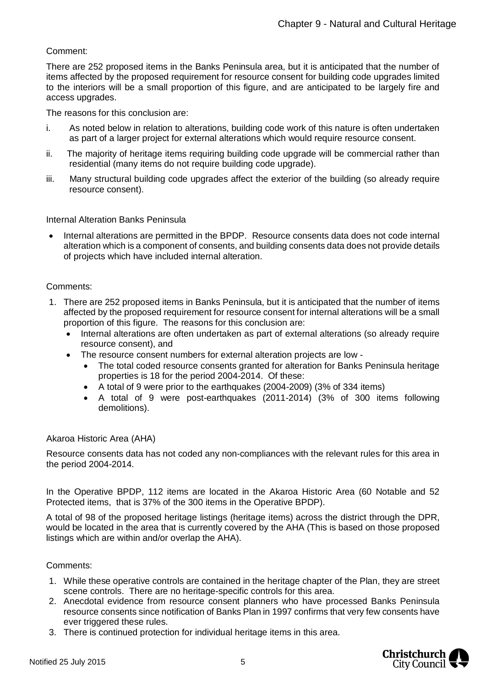## Comment:

There are 252 proposed items in the Banks Peninsula area, but it is anticipated that the number of items affected by the proposed requirement for resource consent for building code upgrades limited to the interiors will be a small proportion of this figure, and are anticipated to be largely fire and access upgrades.

The reasons for this conclusion are:

- i. As noted below in relation to alterations, building code work of this nature is often undertaken as part of a larger project for external alterations which would require resource consent.
- ii. The majority of heritage items requiring building code upgrade will be commercial rather than residential (many items do not require building code upgrade).
- iii. Many structural building code upgrades affect the exterior of the building (so already require resource consent).

#### Internal Alteration Banks Peninsula

• Internal alterations are permitted in the BPDP. Resource consents data does not code internal alteration which is a component of consents, and building consents data does not provide details of projects which have included internal alteration.

#### Comments:

- 1. There are 252 proposed items in Banks Peninsula, but it is anticipated that the number of items affected by the proposed requirement for resource consent for internal alterations will be a small proportion of this figure. The reasons for this conclusion are:
	- Internal alterations are often undertaken as part of external alterations (so already require resource consent), and
	- The resource consent numbers for external alteration projects are low
		- The total coded resource consents granted for alteration for Banks Peninsula heritage properties is 18 for the period 2004-2014. Of these:
		- A total of 9 were prior to the earthquakes (2004-2009) (3% of 334 items)
		- A total of 9 were post-earthquakes (2011-2014) (3% of 300 items following demolitions).

## Akaroa Historic Area (AHA)

Resource consents data has not coded any non-compliances with the relevant rules for this area in the period 2004-2014.

In the Operative BPDP, 112 items are located in the Akaroa Historic Area (60 Notable and 52 Protected items, that is 37% of the 300 items in the Operative BPDP).

A total of 98 of the proposed heritage listings (heritage items) across the district through the DPR, would be located in the area that is currently covered by the AHA (This is based on those proposed listings which are within and/or overlap the AHA).

#### Comments:

- 1. While these operative controls are contained in the heritage chapter of the Plan, they are street scene controls. There are no heritage-specific controls for this area.
- 2. Anecdotal evidence from resource consent planners who have processed Banks Peninsula resource consents since notification of Banks Plan in 1997 confirms that very few consents have ever triggered these rules.
- 3. There is continued protection for individual heritage items in this area.

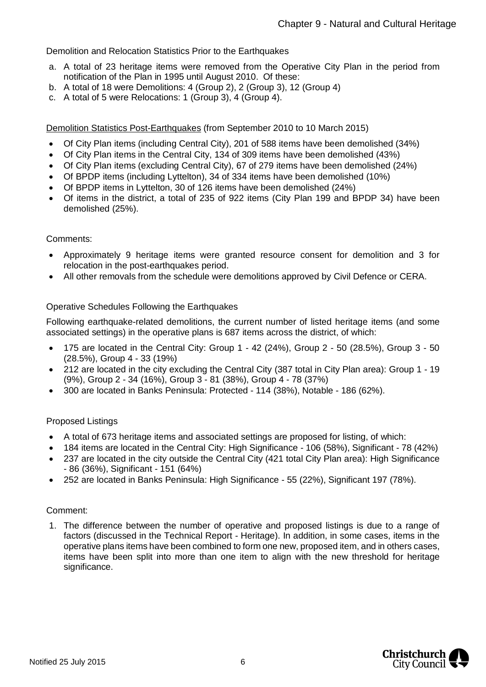Demolition and Relocation Statistics Prior to the Earthquakes

- a. A total of 23 heritage items were removed from the Operative City Plan in the period from notification of the Plan in 1995 until August 2010. Of these:
- b. A total of 18 were Demolitions: 4 (Group 2), 2 (Group 3), 12 (Group 4)
- c. A total of 5 were Relocations: 1 (Group 3), 4 (Group 4).

Demolition Statistics Post-Earthquakes (from September 2010 to 10 March 2015)

- Of City Plan items (including Central City), 201 of 588 items have been demolished (34%)
- Of City Plan items in the Central City, 134 of 309 items have been demolished (43%)
- Of City Plan items (excluding Central City), 67 of 279 items have been demolished (24%)
- Of BPDP items (including Lyttelton), 34 of 334 items have been demolished (10%)
- Of BPDP items in Lyttelton, 30 of 126 items have been demolished (24%)
- Of items in the district, a total of 235 of 922 items (City Plan 199 and BPDP 34) have been demolished (25%).

#### Comments:

- Approximately 9 heritage items were granted resource consent for demolition and 3 for relocation in the post-earthquakes period.
- All other removals from the schedule were demolitions approved by Civil Defence or CERA.

## Operative Schedules Following the Earthquakes

Following earthquake-related demolitions, the current number of listed heritage items (and some associated settings) in the operative plans is 687 items across the district, of which:

- 175 are located in the Central City: Group 1 42 (24%), Group 2 50 (28.5%), Group 3 50 (28.5%), Group 4 - 33 (19%)
- 212 are located in the city excluding the Central City (387 total in City Plan area): Group 1 19 (9%), Group 2 - 34 (16%), Group 3 - 81 (38%), Group 4 - 78 (37%)
- 300 are located in Banks Peninsula: Protected 114 (38%), Notable 186 (62%).

## Proposed Listings

- A total of 673 heritage items and associated settings are proposed for listing, of which:
- 184 items are located in the Central City: High Significance 106 (58%), Significant 78 (42%)
- 237 are located in the city outside the Central City (421 total City Plan area): High Significance - 86 (36%), Significant - 151 (64%)
- 252 are located in Banks Peninsula: High Significance 55 (22%), Significant 197 (78%).

#### Comment:

1. The difference between the number of operative and proposed listings is due to a range of factors (discussed in the Technical Report - Heritage). In addition, in some cases, items in the operative plans items have been combined to form one new, proposed item, and in others cases, items have been split into more than one item to align with the new threshold for heritage significance.

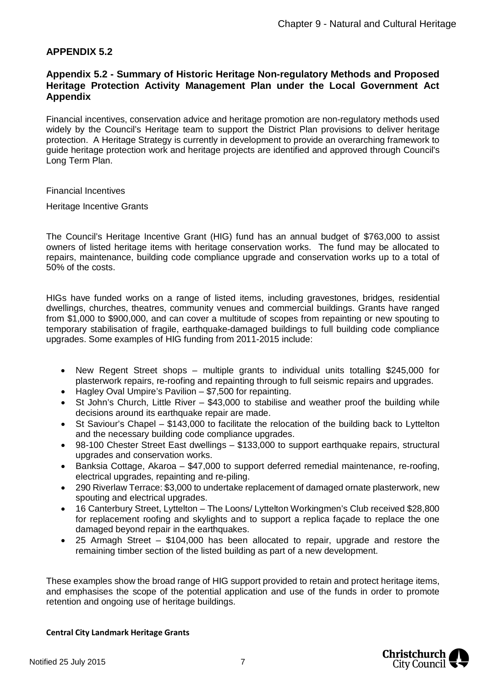## **APPENDIX 5.2**

## **Appendix 5.2 - Summary of Historic Heritage Non-regulatory Methods and Proposed Heritage Protection Activity Management Plan under the Local Government Act Appendix**

Financial incentives, conservation advice and heritage promotion are non-regulatory methods used widely by the Council's Heritage team to support the District Plan provisions to deliver heritage protection. A Heritage Strategy is currently in development to provide an overarching framework to guide heritage protection work and heritage projects are identified and approved through Council's Long Term Plan.

Financial Incentives

Heritage Incentive Grants

The Council's Heritage Incentive Grant (HIG) fund has an annual budget of \$763,000 to assist owners of listed heritage items with heritage conservation works. The fund may be allocated to repairs, maintenance, building code compliance upgrade and conservation works up to a total of 50% of the costs.

HIGs have funded works on a range of listed items, including gravestones, bridges, residential dwellings, churches, theatres, community venues and commercial buildings. Grants have ranged from \$1,000 to \$900,000, and can cover a multitude of scopes from repainting or new spouting to temporary stabilisation of fragile, earthquake-damaged buildings to full building code compliance upgrades. Some examples of HIG funding from 2011-2015 include:

- New Regent Street shops multiple grants to individual units totalling \$245,000 for plasterwork repairs, re-roofing and repainting through to full seismic repairs and upgrades.
- Hagley Oval Umpire's Pavilion \$7,500 for repainting.
- St John's Church, Little River \$43,000 to stabilise and weather proof the building while decisions around its earthquake repair are made.
- St Saviour's Chapel \$143,000 to facilitate the relocation of the building back to Lyttelton and the necessary building code compliance upgrades.
- 98-100 Chester Street East dwellings \$133,000 to support earthquake repairs, structural upgrades and conservation works.
- Banksia Cottage, Akaroa \$47,000 to support deferred remedial maintenance, re-roofing, electrical upgrades, repainting and re-piling.
- 290 Riverlaw Terrace: \$3,000 to undertake replacement of damaged ornate plasterwork, new spouting and electrical upgrades.
- 16 Canterbury Street, Lyttelton The Loons/ Lyttelton Workingmen's Club received \$28,800 for replacement roofing and skylights and to support a replica façade to replace the one damaged beyond repair in the earthquakes.
- 25 Armagh Street \$104,000 has been allocated to repair, upgrade and restore the remaining timber section of the listed building as part of a new development.

These examples show the broad range of HIG support provided to retain and protect heritage items, and emphasises the scope of the potential application and use of the funds in order to promote retention and ongoing use of heritage buildings.

#### **Central City Landmark Heritage Grants**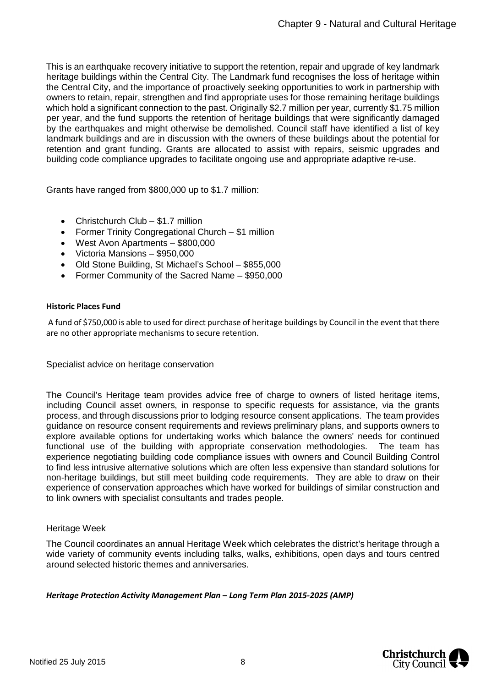This is an earthquake recovery initiative to support the retention, repair and upgrade of key landmark heritage buildings within the Central City. The Landmark fund recognises the loss of heritage within the Central City, and the importance of proactively seeking opportunities to work in partnership with owners to retain, repair, strengthen and find appropriate uses for those remaining heritage buildings which hold a significant connection to the past. Originally \$2.7 million per year, currently \$1.75 million per year, and the fund supports the retention of heritage buildings that were significantly damaged by the earthquakes and might otherwise be demolished. Council staff have identified a list of key landmark buildings and are in discussion with the owners of these buildings about the potential for retention and grant funding. Grants are allocated to assist with repairs, seismic upgrades and building code compliance upgrades to facilitate ongoing use and appropriate adaptive re-use.

Grants have ranged from \$800,000 up to \$1.7 million:

- Christchurch Club \$1.7 million
- Former Trinity Congregational Church \$1 million
- West Avon Apartments \$800,000
- Victoria Mansions \$950,000
- Old Stone Building, St Michael's School \$855,000
- Former Community of the Sacred Name \$950,000

#### **Historic Places Fund**

A fund of \$750,000 is able to used for direct purchase of heritage buildings by Council in the event that there are no other appropriate mechanisms to secure retention.

Specialist advice on heritage conservation

The Council's Heritage team provides advice free of charge to owners of listed heritage items, including Council asset owners, in response to specific requests for assistance, via the grants process, and through discussions prior to lodging resource consent applications. The team provides guidance on resource consent requirements and reviews preliminary plans, and supports owners to explore available options for undertaking works which balance the owners' needs for continued functional use of the building with appropriate conservation methodologies. The team has experience negotiating building code compliance issues with owners and Council Building Control to find less intrusive alternative solutions which are often less expensive than standard solutions for non-heritage buildings, but still meet building code requirements. They are able to draw on their experience of conservation approaches which have worked for buildings of similar construction and to link owners with specialist consultants and trades people.

## Heritage Week

The Council coordinates an annual Heritage Week which celebrates the district's heritage through a wide variety of community events including talks, walks, exhibitions, open days and tours centred around selected historic themes and anniversaries.

*Heritage Protection Activity Management Plan – Long Term Plan 2015-2025 (AMP)*